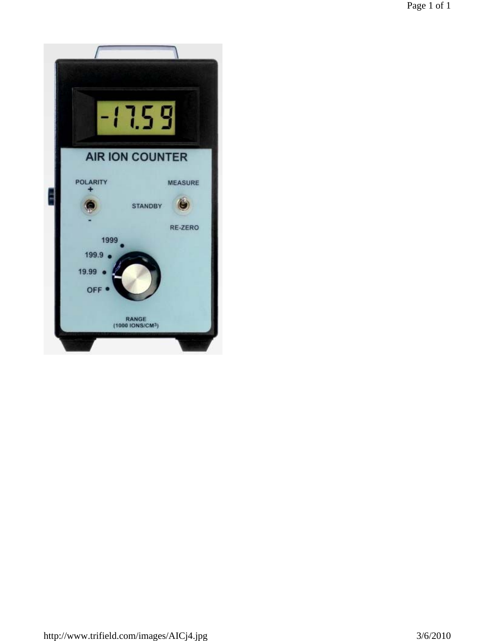Page 1 of 1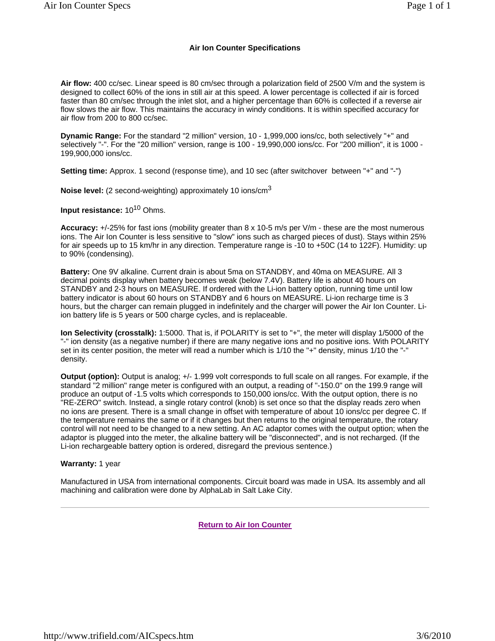#### **Air Ion Counter Specifications**

**Air flow:** 400 cc/sec. Linear speed is 80 cm/sec through a polarization field of 2500 V/m and the system is designed to collect 60% of the ions in still air at this speed. A lower percentage is collected if air is forced faster than 80 cm/sec through the inlet slot, and a higher percentage than 60% is collected if a reverse air flow slows the air flow. This maintains the accuracy in windy conditions. It is within specified accuracy for air flow from 200 to 800 cc/sec.

**Dynamic Range:** For the standard "2 million" version, 10 - 1,999,000 ions/cc, both selectively "+" and selectively "-". For the "20 million" version, range is 100 - 19,990,000 ions/cc. For "200 million", it is 1000 - 199,900,000 ions/cc.

**Setting time:** Approx. 1 second (response time), and 10 sec (after switchover between "+" and "-")

**Noise level:** (2 second-weighting) approximately 10 ions/cm<sup>3</sup>

**Input resistance:** 10<sup>10</sup> Ohms.

**Accuracy:** +/-25% for fast ions (mobility greater than 8 x 10-5 m/s per V/m - these are the most numerous ions. The Air Ion Counter is less sensitive to "slow" ions such as charged pieces of dust). Stays within 25% for air speeds up to 15 km/hr in any direction. Temperature range is -10 to +50C (14 to 122F). Humidity: up to 90% (condensing).

**Battery:** One 9V alkaline. Current drain is about 5ma on STANDBY, and 40ma on MEASURE. All 3 decimal points display when battery becomes weak (below 7.4V). Battery life is about 40 hours on STANDBY and 2-3 hours on MEASURE. If ordered with the Li-ion battery option, running time until low battery indicator is about 60 hours on STANDBY and 6 hours on MEASURE. Li-ion recharge time is 3 hours, but the charger can remain plugged in indefinitely and the charger will power the Air Ion Counter. Liion battery life is 5 years or 500 charge cycles, and is replaceable.

**Ion Selectivity (crosstalk):** 1:5000. That is, if POLARITY is set to "+", the meter will display 1/5000 of the "-" ion density (as a negative number) if there are many negative ions and no positive ions. With POLARITY set in its center position, the meter will read a number which is 1/10 the "+" density, minus 1/10 the "-" density.

**Output (option):** Output is analog; +/- 1.999 volt corresponds to full scale on all ranges. For example, if the standard "2 million" range meter is configured with an output, a reading of "-150.0" on the 199.9 range will produce an output of -1.5 volts which corresponds to 150,000 ions/cc. With the output option, there is no "RE-ZERO" switch. Instead, a single rotary control (knob) is set once so that the display reads zero when no ions are present. There is a small change in offset with temperature of about 10 ions/cc per degree C. If the temperature remains the same or if it changes but then returns to the original temperature, the rotary control will not need to be changed to a new setting. An AC adaptor comes with the output option; when the adaptor is plugged into the meter, the alkaline battery will be "disconnected", and is not recharged. (If the Li-ion rechargeable battery option is ordered, disregard the previous sentence.)

#### **Warranty:** 1 year

Manufactured in USA from international components. Circuit board was made in USA. Its assembly and all machining and calibration were done by AlphaLab in Salt Lake City.

**Return to Air Ion Counter**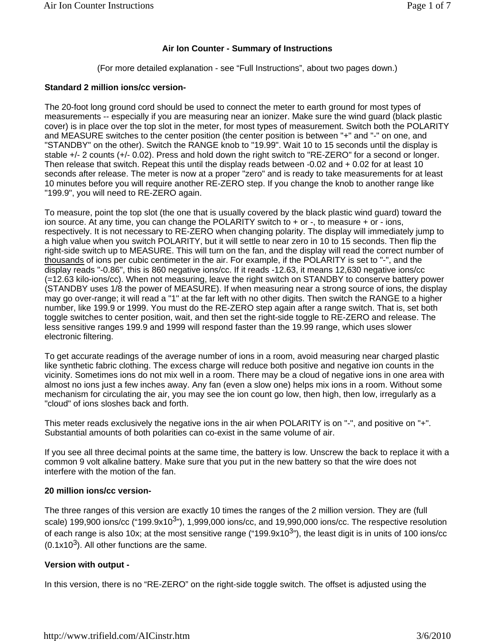# **Air Ion Counter - Summary of Instructions**

(For more detailed explanation - see "Full Instructions", about two pages down.)

#### **Standard 2 million ions/cc version-**

The 20-foot long ground cord should be used to connect the meter to earth ground for most types of measurements -- especially if you are measuring near an ionizer. Make sure the wind guard (black plastic cover) is in place over the top slot in the meter, for most types of measurement. Switch both the POLARITY and MEASURE switches to the center position (the center position is between "+" and "-" on one, and "STANDBY" on the other). Switch the RANGE knob to "19.99". Wait 10 to 15 seconds until the display is stable +/- 2 counts (+/- 0.02). Press and hold down the right switch to "RE-ZERO" for a second or longer. Then release that switch. Repeat this until the display reads between -0.02 and + 0.02 for at least 10 seconds after release. The meter is now at a proper "zero" and is ready to take measurements for at least 10 minutes before you will require another RE-ZERO step. If you change the knob to another range like "199.9", you will need to RE-ZERO again.

To measure, point the top slot (the one that is usually covered by the black plastic wind guard) toward the ion source. At any time, you can change the POLARITY switch to  $+$  or  $-$ , to measure  $+$  or  $-$  ions, respectively. It is not necessary to RE-ZERO when changing polarity. The display will immediately jump to a high value when you switch POLARITY, but it will settle to near zero in 10 to 15 seconds. Then flip the right-side switch up to MEASURE. This will turn on the fan, and the display will read the correct number of thousands of ions per cubic centimeter in the air. For example, if the POLARITY is set to "-", and the display reads "-0.86", this is 860 negative ions/cc. If it reads -12.63, it means 12,630 negative ions/cc (=12.63 kilo-ions/cc). When not measuring, leave the right switch on STANDBY to conserve battery power (STANDBY uses 1/8 the power of MEASURE). If when measuring near a strong source of ions, the display may go over-range; it will read a "1" at the far left with no other digits. Then switch the RANGE to a higher number, like 199.9 or 1999. You must do the RE-ZERO step again after a range switch. That is, set both toggle switches to center position, wait, and then set the right-side toggle to RE-ZERO and release. The less sensitive ranges 199.9 and 1999 will respond faster than the 19.99 range, which uses slower electronic filtering.

To get accurate readings of the average number of ions in a room, avoid measuring near charged plastic like synthetic fabric clothing. The excess charge will reduce both positive and negative ion counts in the vicinity. Sometimes ions do not mix well in a room. There may be a cloud of negative ions in one area with almost no ions just a few inches away. Any fan (even a slow one) helps mix ions in a room. Without some mechanism for circulating the air, you may see the ion count go low, then high, then low, irregularly as a "cloud" of ions sloshes back and forth.

This meter reads exclusively the negative ions in the air when POLARITY is on "-", and positive on "+". Substantial amounts of both polarities can co-exist in the same volume of air.

If you see all three decimal points at the same time, the battery is low. Unscrew the back to replace it with a common 9 volt alkaline battery. Make sure that you put in the new battery so that the wire does not interfere with the motion of the fan.

## **20 million ions/cc version-**

The three ranges of this version are exactly 10 times the ranges of the 2 million version. They are (full scale) 199,900 ions/cc ("199.9x10<sup>3</sup>"), 1,999,000 ions/cc, and 19,990,000 ions/cc. The respective resolution of each range is also 10x; at the most sensitive range ("199.9x10 $3$ "), the least digit is in units of 100 ions/cc  $(0.1x10<sup>3</sup>)$ . All other functions are the same.

## **Version with output -**

In this version, there is no "RE-ZERO" on the right-side toggle switch. The offset is adjusted using the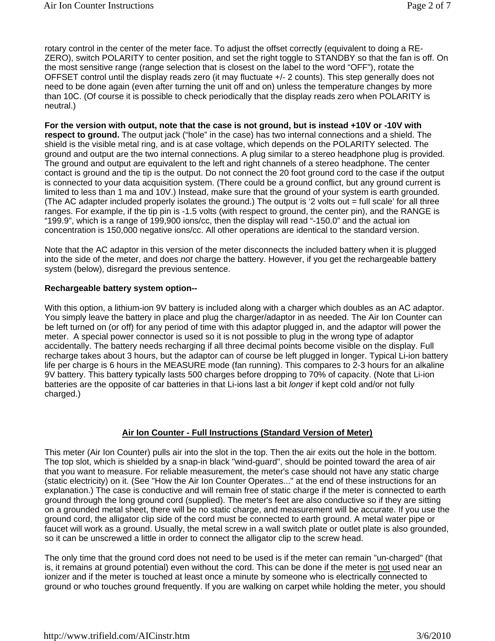rotary control in the center of the meter face. To adjust the offset correctly (equivalent to doing a RE-ZERO), switch POLARITY to center position, and set the right toggle to STANDBY so that the fan is off. On the most sensitive range (range selection that is closest on the label to the word "OFF"), rotate the OFFSET control until the display reads zero (it may fluctuate +/- 2 counts). This step generally does not need to be done again (even after turning the unit off and on) unless the temperature changes by more than 10C. (Of course it is possible to check periodically that the display reads zero when POLARITY is neutral.)

**For the version with output, note that the case is not ground, but is instead +10V or -10V with respect to ground.** The output jack ("hole" in the case) has two internal connections and a shield. The shield is the visible metal ring, and is at case voltage, which depends on the POLARITY selected. The ground and output are the two internal connections. A plug similar to a stereo headphone plug is provided. The ground and output are equivalent to the left and right channels of a stereo headphone. The center contact is ground and the tip is the output. Do not connect the 20 foot ground cord to the case if the output is connected to your data acquisition system. (There could be a ground conflict, but any ground current is limited to less than 1 ma and 10V.) Instead, make sure that the ground of your system is earth grounded. (The AC adapter included properly isolates the ground.) The output is '2 volts out = full scale' for all three ranges. For example, if the tip pin is -1.5 volts (with respect to ground, the center pin), and the RANGE is "199.9", which is a range of 199,900 ions/cc, then the display will read "-150.0" and the actual ion concentration is 150,000 negative ions/cc. All other operations are identical to the standard version.

Note that the AC adaptor in this version of the meter disconnects the included battery when it is plugged into the side of the meter, and does *not* charge the battery. However, if you get the rechargeable battery system (below), disregard the previous sentence.

#### **Rechargeable battery system option--**

With this option, a lithium-ion 9V battery is included along with a charger which doubles as an AC adaptor. You simply leave the battery in place and plug the charger/adaptor in as needed. The Air Ion Counter can be left turned on (or off) for any period of time with this adaptor plugged in, and the adaptor will power the meter. A special power connector is used so it is not possible to plug in the wrong type of adaptor accidentally. The battery needs recharging if all three decimal points become visible on the display. Full recharge takes about 3 hours, but the adaptor can of course be left plugged in longer. Typical Li-ion battery life per charge is 6 hours in the MEASURE mode (fan running). This compares to 2-3 hours for an alkaline 9V battery. This battery typically lasts 500 charges before dropping to 70% of capacity. (Note that Li-ion batteries are the opposite of car batteries in that Li-ions last a bit *longer* if kept cold and/or not fully charged.)

## **Air Ion Counter - Full Instructions (Standard Version of Meter)**

This meter (Air Ion Counter) pulls air into the slot in the top. Then the air exits out the hole in the bottom. The top slot, which is shielded by a snap-in black "wind-guard", should be pointed toward the area of air that you want to measure. For reliable measurement, the meter's case should not have any static charge (static electricity) on it. (See "How the Air Ion Counter Operates..." at the end of these instructions for an explanation.) The case is conductive and will remain free of static charge if the meter is connected to earth ground through the long ground cord (supplied). The meter's feet are also conductive so if they are sitting on a grounded metal sheet, there will be no static charge, and measurement will be accurate. If you use the ground cord, the alligator clip side of the cord must be connected to earth ground. A metal water pipe or faucet will work as a ground. Usually, the metal screw in a wall switch plate or outlet plate is also grounded, so it can be unscrewed a little in order to connect the alligator clip to the screw head.

The only time that the ground cord does not need to be used is if the meter can remain "un-charged" (that is, it remains at ground potential) even without the cord. This can be done if the meter is not used near an ionizer and if the meter is touched at least once a minute by someone who is electrically connected to ground or who touches ground frequently. If you are walking on carpet while holding the meter, you should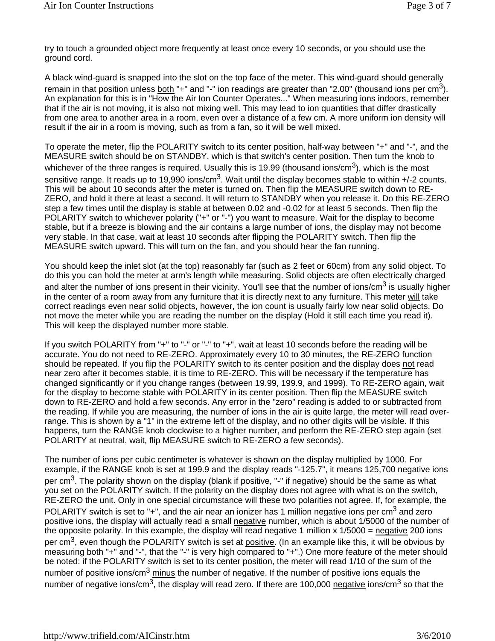try to touch a grounded object more frequently at least once every 10 seconds, or you should use the ground cord.

A black wind-guard is snapped into the slot on the top face of the meter. This wind-guard should generally remain in that position unless both "+" and "-" ion readings are greater than "2.00" (thousand ions per cm<sup>3</sup>). An explanation for this is in "How the Air Ion Counter Operates..." When measuring ions indoors, remember that if the air is not moving, it is also not mixing well. This may lead to ion quantities that differ drastically from one area to another area in a room, even over a distance of a few cm. A more uniform ion density will result if the air in a room is moving, such as from a fan, so it will be well mixed.

To operate the meter, flip the POLARITY switch to its center position, half-way between "+" and "-", and the MEASURE switch should be on STANDBY, which is that switch's center position. Then turn the knob to whichever of the three ranges is required. Usually this is 19.99 (thousand ions/cm<sup>3</sup>), which is the most sensitive range. It reads up to 19,990 ions/cm<sup>3</sup>. Wait until the display becomes stable to within +/-2 counts. This will be about 10 seconds after the meter is turned on. Then flip the MEASURE switch down to RE-ZERO, and hold it there at least a second. It will return to STANDBY when you release it. Do this RE-ZERO step a few times until the display is stable at between 0.02 and -0.02 for at least 5 seconds. Then flip the POLARITY switch to whichever polarity ("+" or "-") you want to measure. Wait for the display to become stable, but if a breeze is blowing and the air contains a large number of ions, the display may not become very stable. In that case, wait at least 10 seconds after flipping the POLARITY switch. Then flip the MEASURE switch upward. This will turn on the fan, and you should hear the fan running.

You should keep the inlet slot (at the top) reasonably far (such as 2 feet or 60cm) from any solid object. To do this you can hold the meter at arm's length while measuring. Solid objects are often electrically charged and alter the number of ions present in their vicinity. You'll see that the number of ions/cm<sup>3</sup> is usually higher in the center of a room away from any furniture that it is directly next to any furniture. This meter will take correct readings even near solid objects, however, the ion count is usually fairly low near solid objects. Do not move the meter while you are reading the number on the display (Hold it still each time you read it). This will keep the displayed number more stable.

If you switch POLARITY from "+" to "-" or "-" to "+", wait at least 10 seconds before the reading will be accurate. You do not need to RE-ZERO. Approximately every 10 to 30 minutes, the RE-ZERO function should be repeated. If you flip the POLARITY switch to its center position and the display does not read near zero after it becomes stable, it is time to RE-ZERO. This will be necessary if the temperature has changed significantly or if you change ranges (between 19.99, 199.9, and 1999). To RE-ZERO again, wait for the display to become stable with POLARITY in its center position. Then flip the MEASURE switch down to RE-ZERO and hold a few seconds. Any error in the "zero" reading is added to or subtracted from the reading. If while you are measuring, the number of ions in the air is quite large, the meter will read overrange. This is shown by a "1" in the extreme left of the display, and no other digits will be visible. If this happens, turn the RANGE knob clockwise to a higher number, and perform the RE-ZERO step again (set POLARITY at neutral, wait, flip MEASURE switch to RE-ZERO a few seconds).

The number of ions per cubic centimeter is whatever is shown on the display multiplied by 1000. For example, if the RANGE knob is set at 199.9 and the display reads "-125.7", it means 125,700 negative ions per cm<sup>3</sup>. The polarity shown on the display (blank if positive, "-" if negative) should be the same as what you set on the POLARITY switch. If the polarity on the display does not agree with what is on the switch, RE-ZERO the unit. Only in one special circumstance will these two polarities not agree. If, for example, the POLARITY switch is set to "+", and the air near an ionizer has 1 million negative ions per cm<sup>3</sup> and zero positive ions, the display will actually read a small negative number, which is about 1/5000 of the number of the opposite polarity. In this example, the display will read negative 1 million x  $1/5000 =$  negative 200 ions per  $\text{cm}^3$ , even though the POLARITY switch is set at positive. (In an example like this, it will be obvious by measuring both "+" and "-", that the "-" is very high compared to "+".) One more feature of the meter should be noted: if the POLARITY switch is set to its center position, the meter will read 1/10 of the sum of the number of positive ions/cm<sup>3</sup> minus the number of negative. If the number of positive ions equals the number of negative ions/cm<sup>3</sup>, the display will read zero. If there are 100,000 negative ions/cm<sup>3</sup> so that the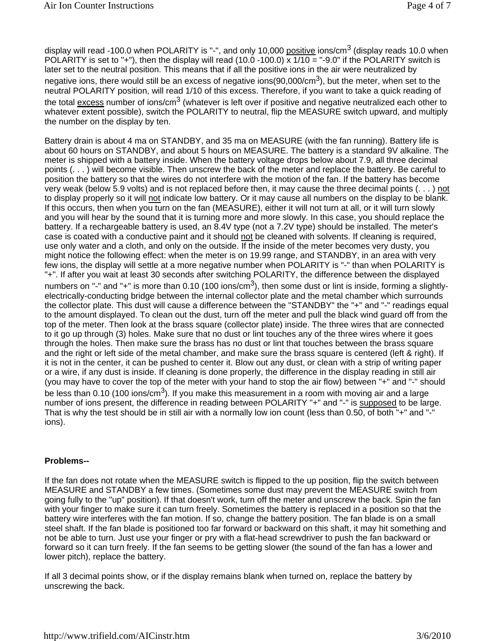display will read -100.0 when POLARITY is "-", and only 10,000 positive ions/cm<sup>3</sup> (display reads 10.0 when POLARITY is set to "+"), then the display will read (10.0 -100.0) x 1/10 = "-9.0" if the POLARITY switch is later set to the neutral position. This means that if all the positive ions in the air were neutralized by negative ions, there would still be an excess of negative ions(90,000/cm<sup>3</sup>), but the meter, when set to the neutral POLARITY position, will read 1/10 of this excess. Therefore, if you want to take a quick reading of the total excess number of ions/cm<sup>3</sup> (whatever is left over if positive and negative neutralized each other to whatever extent possible), switch the POLARITY to neutral, flip the MEASURE switch upward, and multiply the number on the display by ten.

Battery drain is about 4 ma on STANDBY, and 35 ma on MEASURE (with the fan running). Battery life is about 60 hours on STANDBY, and about 5 hours on MEASURE. The battery is a standard 9V alkaline. The meter is shipped with a battery inside. When the battery voltage drops below about 7.9, all three decimal points (. . . ) will become visible. Then unscrew the back of the meter and replace the battery. Be careful to position the battery so that the wires do not interfere with the motion of the fan. If the battery has become very weak (below 5.9 volts) and is not replaced before then, it may cause the three decimal points (. . . ) not to display properly so it will not indicate low battery. Or it may cause all numbers on the display to be blank. If this occurs, then when you turn on the fan (MEASURE), either it will not turn at all, or it will turn slowly and you will hear by the sound that it is turning more and more slowly. In this case, you should replace the battery. If a rechargeable battery is used, an 8.4V type (not a 7.2V type) should be installed. The meter's case is coated with a conductive paint and it should not be cleaned with solvents. If cleaning is required, use only water and a cloth, and only on the outside. If the inside of the meter becomes very dusty, you might notice the following effect: when the meter is on 19.99 range, and STANDBY, in an area with very few ions, the display will settle at a more negative number when POLARITY is "-" than when POLARITY is "+". If after you wait at least 30 seconds after switching POLARITY, the difference between the displayed numbers on "-" and "+" is more than 0.10 (100 ions/cm<sup>3</sup>), then some dust or lint is inside, forming a slightlyelectrically-conducting bridge between the internal collector plate and the metal chamber which surrounds the collector plate. This dust will cause a difference between the "STANDBY" the "+" and "-" readings equal to the amount displayed. To clean out the dust, turn off the meter and pull the black wind guard off from the top of the meter. Then look at the brass square (collector plate) inside. The three wires that are connected to it go up through (3) holes. Make sure that no dust or lint touches any of the three wires where it goes through the holes. Then make sure the brass has no dust or lint that touches between the brass square and the right or left side of the metal chamber, and make sure the brass square is centered (left & right). If it is not in the center, it can be pushed to center it. Blow out any dust, or clean with a strip of writing paper or a wire, if any dust is inside. If cleaning is done properly, the difference in the display reading in still air (you may have to cover the top of the meter with your hand to stop the air flow) between "+" and "-" should be less than 0.10 (100 ions/cm<sup>3</sup>). If you make this measurement in a room with moving air and a large number of ions present, the difference in reading between POLARITY "+" and "-" is supposed to be large. That is why the test should be in still air with a normally low ion count (less than 0.50, of both "+" and "-" ions).

## **Problems--**

If the fan does not rotate when the MEASURE switch is flipped to the up position, flip the switch between MEASURE and STANDBY a few times. (Sometimes some dust may prevent the MEASURE switch from going fully to the "up" position). If that doesn't work, turn off the meter and unscrew the back. Spin the fan with your finger to make sure it can turn freely. Sometimes the battery is replaced in a position so that the battery wire interferes with the fan motion. If so, change the battery position. The fan blade is on a small steel shaft. If the fan blade is positioned too far forward or backward on this shaft, it may hit something and not be able to turn. Just use your finger or pry with a flat-head screwdriver to push the fan backward or forward so it can turn freely. If the fan seems to be getting slower (the sound of the fan has a lower and lower pitch), replace the battery.

If all 3 decimal points show, or if the display remains blank when turned on, replace the battery by unscrewing the back.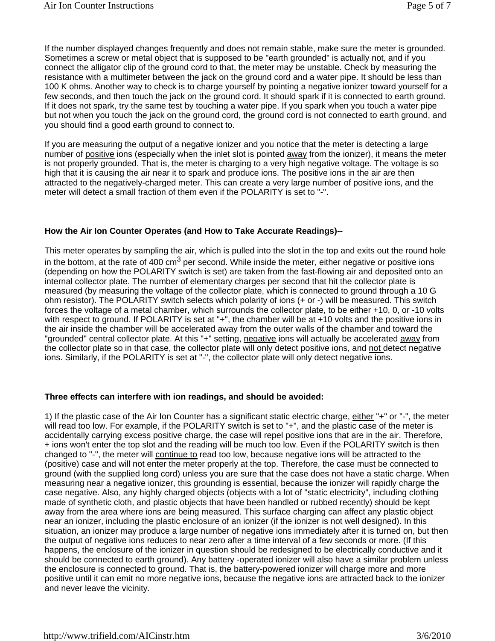If the number displayed changes frequently and does not remain stable, make sure the meter is grounded. Sometimes a screw or metal object that is supposed to be "earth grounded" is actually not, and if you connect the alligator clip of the ground cord to that, the meter may be unstable. Check by measuring the resistance with a multimeter between the jack on the ground cord and a water pipe. It should be less than 100 K ohms. Another way to check is to charge yourself by pointing a negative ionizer toward yourself for a few seconds, and then touch the jack on the ground cord. It should spark if it is connected to earth ground. If it does not spark, try the same test by touching a water pipe. If you spark when you touch a water pipe but not when you touch the jack on the ground cord, the ground cord is not connected to earth ground, and you should find a good earth ground to connect to.

If you are measuring the output of a negative ionizer and you notice that the meter is detecting a large number of positive ions (especially when the inlet slot is pointed away from the ionizer), it means the meter is not properly grounded. That is, the meter is charging to a very high negative voltage. The voltage is so high that it is causing the air near it to spark and produce ions. The positive ions in the air are then attracted to the negatively-charged meter. This can create a very large number of positive ions, and the meter will detect a small fraction of them even if the POLARITY is set to "-".

# **How the Air Ion Counter Operates (and How to Take Accurate Readings)--**

This meter operates by sampling the air, which is pulled into the slot in the top and exits out the round hole in the bottom, at the rate of 400  $\text{cm}^3$  per second. While inside the meter, either negative or positive ions (depending on how the POLARITY switch is set) are taken from the fast-flowing air and deposited onto an internal collector plate. The number of elementary charges per second that hit the collector plate is measured (by measuring the voltage of the collector plate, which is connected to ground through a 10 G ohm resistor). The POLARITY switch selects which polarity of ions (+ or -) will be measured. This switch forces the voltage of a metal chamber, which surrounds the collector plate, to be either +10, 0, or -10 volts with respect to ground. If POLARITY is set at "+", the chamber will be at +10 volts and the positive ions in the air inside the chamber will be accelerated away from the outer walls of the chamber and toward the "grounded" central collector plate. At this "+" setting, negative ions will actually be accelerated away from the collector plate so in that case, the collector plate will only detect positive ions, and not detect negative ions. Similarly, if the POLARITY is set at "-", the collector plate will only detect negative ions.

## **Three effects can interfere with ion readings, and should be avoided:**

1) If the plastic case of the Air Ion Counter has a significant static electric charge, either "+" or "-", the meter will read too low. For example, if the POLARITY switch is set to "+", and the plastic case of the meter is accidentally carrying excess positive charge, the case will repel positive ions that are in the air. Therefore, + ions won't enter the top slot and the reading will be much too low. Even if the POLARITY switch is then changed to "-", the meter will continue to read too low, because negative ions will be attracted to the (positive) case and will not enter the meter properly at the top. Therefore, the case must be connected to ground (with the supplied long cord) unless you are sure that the case does not have a static charge. When measuring near a negative ionizer, this grounding is essential, because the ionizer will rapidly charge the case negative. Also, any highly charged objects (objects with a lot of "static electricity", including clothing made of synthetic cloth, and plastic objects that have been handled or rubbed recently) should be kept away from the area where ions are being measured. This surface charging can affect any plastic object near an ionizer, including the plastic enclosure of an ionizer (if the ionizer is not well designed). In this situation, an ionizer may produce a large number of negative ions immediately after it is turned on, but then the output of negative ions reduces to near zero after a time interval of a few seconds or more. (If this happens, the enclosure of the ionizer in question should be redesigned to be electrically conductive and it should be connected to earth ground). Any battery -operated ionizer will also have a similar problem unless the enclosure is connected to ground. That is, the battery-powered ionizer will charge more and more positive until it can emit no more negative ions, because the negative ions are attracted back to the ionizer and never leave the vicinity.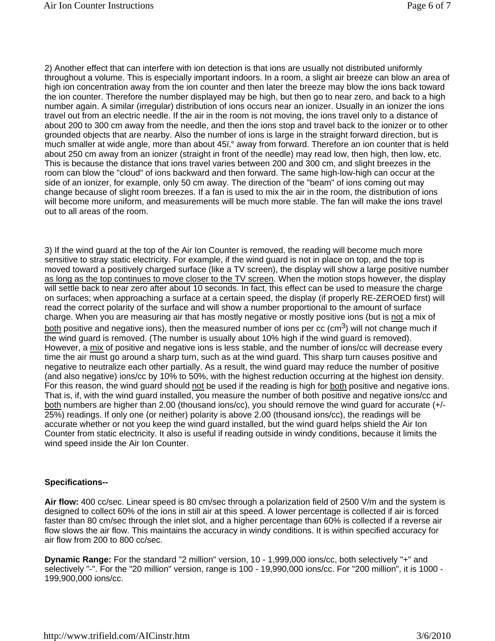2) Another effect that can interfere with ion detection is that ions are usually not distributed uniformly throughout a volume. This is especially important indoors. In a room, a slight air breeze can blow an area of high ion concentration away from the ion counter and then later the breeze may blow the ions back toward the ion counter. Therefore the number displayed may be high, but then go to near zero, and back to a high number again. A similar (irregular) distribution of ions occurs near an ionizer. Usually in an ionizer the ions travel out from an electric needle. If the air in the room is not moving, the ions travel only to a distance of about 200 to 300 cm away from the needle, and then the ions stop and travel back to the ionizer or to other grounded objects that are nearby. Also the number of ions is large in the straight forward direction, but is much smaller at wide angle, more than about 45ï,° away from forward. Therefore an ion counter that is held about 250 cm away from an ionizer (straight in front of the needle) may read low, then high, then low, etc. This is because the distance that ions travel varies between 200 and 300 cm, and slight breezes in the room can blow the "cloud" of ions backward and then forward. The same high-low-high can occur at the side of an ionizer, for example, only 50 cm away. The direction of the "beam" of ions coming out may change because of slight room breezes. If a fan is used to mix the air in the room, the distribution of ions will become more uniform, and measurements will be much more stable. The fan will make the ions travel out to all areas of the room.

3) If the wind guard at the top of the Air Ion Counter is removed, the reading will become much more sensitive to stray static electricity. For example, if the wind guard is not in place on top, and the top is moved toward a positively charged surface (like a TV screen), the display will show a large positive number as long as the top continues to move closer to the TV screen. When the motion stops however, the display will settle back to near zero after about 10 seconds. In fact, this effect can be used to measure the charge on surfaces; when approaching a surface at a certain speed, the display (if properly RE-ZEROED first) will read the correct polarity of the surface and will show a number proportional to the amount of surface charge. When you are measuring air that has mostly negative or mostly positive ions (but is not a mix of both positive and negative ions), then the measured number of ions per cc ( $cm<sup>3</sup>$ ) will not change much if the wind guard is removed. (The number is usually about 10% high if the wind guard is removed). However, a mix of positive and negative ions is less stable, and the number of ions/cc will decrease every time the air must go around a sharp turn, such as at the wind guard. This sharp turn causes positive and negative to neutralize each other partially. As a result, the wind guard may reduce the number of positive (and also negative) ions/cc by 10% to 50%, with the highest reduction occurring at the highest ion density. For this reason, the wind guard should not be used if the reading is high for both positive and negative ions. That is, if, with the wind guard installed, you measure the number of both positive and negative ions/cc and both numbers are higher than 2.00 (thousand ions/cc), you should remove the wind guard for accurate (+/-25%) readings. If only one (or neither) polarity is above 2.00 (thousand ions/cc), the readings will be accurate whether or not you keep the wind guard installed, but the wind guard helps shield the Air Ion Counter from static electricity. It also is useful if reading outside in windy conditions, because it limits the wind speed inside the Air Ion Counter.

## **Specifications--**

**Air flow:** 400 cc/sec. Linear speed is 80 cm/sec through a polarization field of 2500 V/m and the system is designed to collect 60% of the ions in still air at this speed. A lower percentage is collected if air is forced faster than 80 cm/sec through the inlet slot, and a higher percentage than 60% is collected if a reverse air flow slows the air flow. This maintains the accuracy in windy conditions. It is within specified accuracy for air flow from 200 to 800 cc/sec.

**Dynamic Range:** For the standard "2 million" version, 10 - 1,999,000 ions/cc, both selectively "+" and selectively "-". For the "20 million" version, range is 100 - 19,990,000 ions/cc. For "200 million", it is 1000 - 199,900,000 ions/cc.